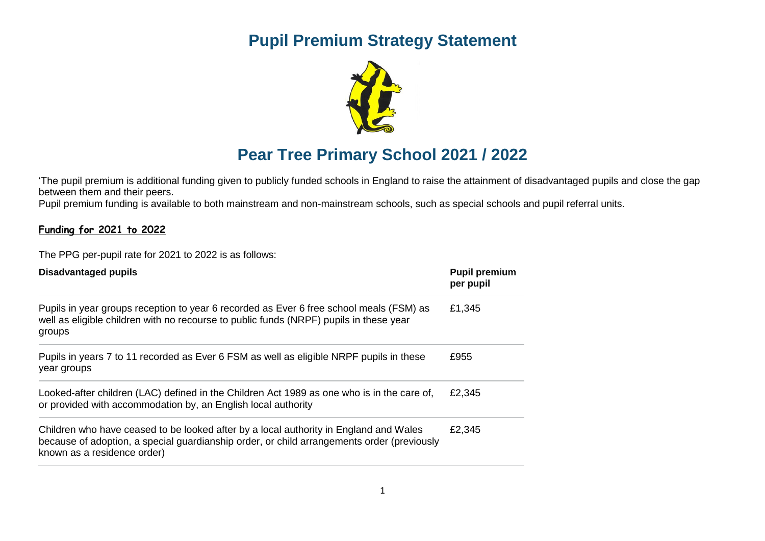## **Pupil Premium Strategy Statement**



## **Pear Tree Primary School 2021 / 2022**

'The [pupil premium](https://www.gov.uk/government/policies/raising-the-achievement-of-disadvantaged-children/supporting-pages/pupil-premium) is additional funding given to publicly funded schools in England to raise the attainment of disadvantaged pupils and close the gap between them and their peers.

Pupil premium funding is available to both mainstream and non-mainstream schools, such as special schools and pupil referral units.

## **Funding for 2021 to 2022**

The PPG per-pupil rate for 2021 to 2022 is as follows:

| <b>Disadvantaged pupils</b>                                                                                                                                                                                        | <b>Pupil premium</b><br>per pupil |  |
|--------------------------------------------------------------------------------------------------------------------------------------------------------------------------------------------------------------------|-----------------------------------|--|
| Pupils in year groups reception to year 6 recorded as Ever 6 free school meals (FSM) as<br>well as eligible children with no recourse to public funds (NRPF) pupils in these year<br>groups                        | £1,345                            |  |
| Pupils in years 7 to 11 recorded as Ever 6 FSM as well as eligible NRPF pupils in these<br>year groups                                                                                                             | £955                              |  |
| Looked-after children (LAC) defined in the Children Act 1989 as one who is in the care of,<br>or provided with accommodation by, an English local authority                                                        | £2,345                            |  |
| Children who have ceased to be looked after by a local authority in England and Wales<br>because of adoption, a special guardianship order, or child arrangements order (previously<br>known as a residence order) | £2,345                            |  |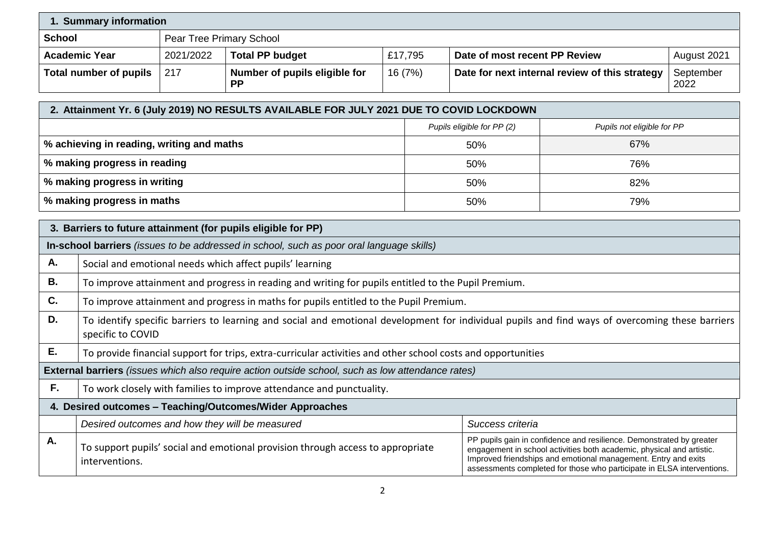| 1. Summary information                                   |                                                                                                                                                                      |                                                |                                                                                                   |         |                            |                                                                                                                                                                                                                                                                                           |     |                            |  |
|----------------------------------------------------------|----------------------------------------------------------------------------------------------------------------------------------------------------------------------|------------------------------------------------|---------------------------------------------------------------------------------------------------|---------|----------------------------|-------------------------------------------------------------------------------------------------------------------------------------------------------------------------------------------------------------------------------------------------------------------------------------------|-----|----------------------------|--|
| <b>School</b>                                            |                                                                                                                                                                      | Pear Tree Primary School                       |                                                                                                   |         |                            |                                                                                                                                                                                                                                                                                           |     |                            |  |
|                                                          | <b>Academic Year</b>                                                                                                                                                 | 2021/2022                                      | <b>Total PP budget</b>                                                                            |         | £17,795                    | Date of most recent PP Review                                                                                                                                                                                                                                                             |     | August 2021                |  |
| <b>Total number of pupils</b>                            |                                                                                                                                                                      | 217                                            | Number of pupils eligible for<br><b>PP</b>                                                        | 16 (7%) |                            | Date for next internal review of this strategy                                                                                                                                                                                                                                            |     | September<br>2022          |  |
|                                                          |                                                                                                                                                                      |                                                | 2. Attainment Yr. 6 (July 2019) NO RESULTS AVAILABLE FOR JULY 2021 DUE TO COVID LOCKDOWN          |         |                            |                                                                                                                                                                                                                                                                                           |     |                            |  |
|                                                          |                                                                                                                                                                      |                                                |                                                                                                   |         | Pupils eligible for PP (2) |                                                                                                                                                                                                                                                                                           |     | Pupils not eligible for PP |  |
|                                                          | % achieving in reading, writing and maths                                                                                                                            |                                                |                                                                                                   |         |                            | 50%                                                                                                                                                                                                                                                                                       | 67% |                            |  |
|                                                          | % making progress in reading                                                                                                                                         |                                                |                                                                                                   |         |                            | 50%                                                                                                                                                                                                                                                                                       | 76% |                            |  |
|                                                          | % making progress in writing                                                                                                                                         |                                                |                                                                                                   |         |                            | 50%                                                                                                                                                                                                                                                                                       | 82% |                            |  |
|                                                          | % making progress in maths                                                                                                                                           |                                                |                                                                                                   |         |                            | 50%                                                                                                                                                                                                                                                                                       | 79% |                            |  |
|                                                          |                                                                                                                                                                      |                                                | 3. Barriers to future attainment (for pupils eligible for PP)                                     |         |                            |                                                                                                                                                                                                                                                                                           |     |                            |  |
|                                                          |                                                                                                                                                                      |                                                | In-school barriers (issues to be addressed in school, such as poor oral language skills)          |         |                            |                                                                                                                                                                                                                                                                                           |     |                            |  |
| А.                                                       |                                                                                                                                                                      |                                                |                                                                                                   |         |                            |                                                                                                                                                                                                                                                                                           |     |                            |  |
| <b>B.</b>                                                | Social and emotional needs which affect pupils' learning                                                                                                             |                                                |                                                                                                   |         |                            |                                                                                                                                                                                                                                                                                           |     |                            |  |
| C.                                                       | To improve attainment and progress in reading and writing for pupils entitled to the Pupil Premium.                                                                  |                                                |                                                                                                   |         |                            |                                                                                                                                                                                                                                                                                           |     |                            |  |
| D.                                                       | To improve attainment and progress in maths for pupils entitled to the Pupil Premium.                                                                                |                                                |                                                                                                   |         |                            |                                                                                                                                                                                                                                                                                           |     |                            |  |
|                                                          | To identify specific barriers to learning and social and emotional development for individual pupils and find ways of overcoming these barriers<br>specific to COVID |                                                |                                                                                                   |         |                            |                                                                                                                                                                                                                                                                                           |     |                            |  |
| Ε.                                                       | To provide financial support for trips, extra-curricular activities and other school costs and opportunities                                                         |                                                |                                                                                                   |         |                            |                                                                                                                                                                                                                                                                                           |     |                            |  |
|                                                          |                                                                                                                                                                      |                                                | External barriers (issues which also require action outside school, such as low attendance rates) |         |                            |                                                                                                                                                                                                                                                                                           |     |                            |  |
| F.                                                       | To work closely with families to improve attendance and punctuality.                                                                                                 |                                                |                                                                                                   |         |                            |                                                                                                                                                                                                                                                                                           |     |                            |  |
| 4. Desired outcomes - Teaching/Outcomes/Wider Approaches |                                                                                                                                                                      |                                                |                                                                                                   |         |                            |                                                                                                                                                                                                                                                                                           |     |                            |  |
|                                                          |                                                                                                                                                                      | Desired outcomes and how they will be measured |                                                                                                   |         |                            | Success criteria                                                                                                                                                                                                                                                                          |     |                            |  |
| A.                                                       | To support pupils' social and emotional provision through access to appropriate<br>interventions.                                                                    |                                                |                                                                                                   |         |                            | PP pupils gain in confidence and resilience. Demonstrated by greater<br>engagement in school activities both academic, physical and artistic.<br>Improved friendships and emotional management. Entry and exits<br>assessments completed for those who participate in ELSA interventions. |     |                            |  |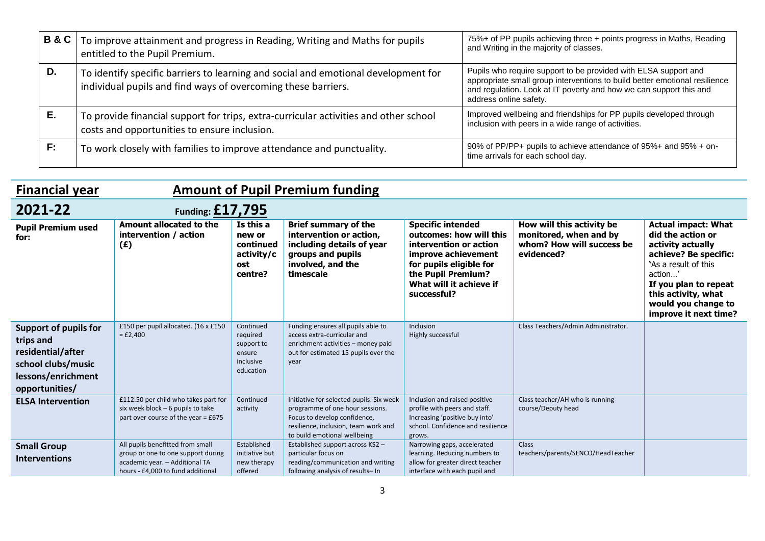| <b>B&amp;C</b> | To improve attainment and progress in Reading, Writing and Maths for pupils<br>entitled to the Pupil Premium.                                       | 75%+ of PP pupils achieving three + points progress in Maths, Reading<br>and Writing in the majority of classes.                                                                                                                              |
|----------------|-----------------------------------------------------------------------------------------------------------------------------------------------------|-----------------------------------------------------------------------------------------------------------------------------------------------------------------------------------------------------------------------------------------------|
| D.             | To identify specific barriers to learning and social and emotional development for<br>individual pupils and find ways of overcoming these barriers. | Pupils who require support to be provided with ELSA support and<br>appropriate small group interventions to build better emotional resilience<br>and regulation. Look at IT poverty and how we can support this and<br>address online safety. |
| Е.             | To provide financial support for trips, extra-curricular activities and other school<br>costs and opportunities to ensure inclusion.                | Improved wellbeing and friendships for PP pupils developed through<br>inclusion with peers in a wide range of activities.                                                                                                                     |
| F:             | To work closely with families to improve attendance and punctuality.                                                                                | 90% of PP/PP+ pupils to achieve attendance of 95%+ and 95% + on-<br>time arrivals for each school day.                                                                                                                                        |

| <b>Financial year</b>                                                                                                        | <b>Amount of Pupil Premium funding</b>                                                                                                        |                                                                         |                                                                                                                                                                                     |                                                                                                                                                                                                 |                                                                                                |                                                                                                                                                                                                                                 |
|------------------------------------------------------------------------------------------------------------------------------|-----------------------------------------------------------------------------------------------------------------------------------------------|-------------------------------------------------------------------------|-------------------------------------------------------------------------------------------------------------------------------------------------------------------------------------|-------------------------------------------------------------------------------------------------------------------------------------------------------------------------------------------------|------------------------------------------------------------------------------------------------|---------------------------------------------------------------------------------------------------------------------------------------------------------------------------------------------------------------------------------|
| 2021-22                                                                                                                      | Funding: $£17,795$                                                                                                                            |                                                                         |                                                                                                                                                                                     |                                                                                                                                                                                                 |                                                                                                |                                                                                                                                                                                                                                 |
| <b>Pupil Premium used</b><br>for:                                                                                            | Amount allocated to the<br>intervention / action<br>(E)                                                                                       | Is this a<br>new or<br>continued<br>activity/c<br>ost<br>centre?        | <b>Brief summary of the</b><br>intervention or action,<br>including details of year<br>groups and pupils<br>involved, and the<br>timescale                                          | <b>Specific intended</b><br>outcomes: how will this<br>intervention or action<br>improve achievement<br>for pupils eligible for<br>the Pupil Premium?<br>What will it achieve if<br>successful? | How will this activity be<br>monitored, when and by<br>whom? How will success be<br>evidenced? | <b>Actual impact: What</b><br>did the action or<br>activity actually<br>achieve? Be specific:<br>'As a result of this<br>action<br>If you plan to repeat<br>this activity, what<br>would you change to<br>improve it next time? |
| <b>Support of pupils for</b><br>trips and<br>residential/after<br>school clubs/music<br>lessons/enrichment<br>opportunities/ | £150 per pupil allocated. (16 x £150<br>$=$ £2,400                                                                                            | Continued<br>required<br>support to<br>ensure<br>inclusive<br>education | Funding ensures all pupils able to<br>access extra-curricular and<br>enrichment activities - money paid<br>out for estimated 15 pupils over the<br>year                             | Inclusion<br>Highly successful                                                                                                                                                                  | Class Teachers/Admin Administrator.                                                            |                                                                                                                                                                                                                                 |
| <b>ELSA Intervention</b>                                                                                                     | £112.50 per child who takes part for<br>six week block - 6 pupils to take<br>part over course of the year = $£675$                            | Continued<br>activity                                                   | Initiative for selected pupils. Six week<br>programme of one hour sessions.<br>Focus to develop confidence,<br>resilience, inclusion, team work and<br>to build emotional wellbeing | Inclusion and raised positive<br>profile with peers and staff.<br>Increasing 'positive buy into'<br>school. Confidence and resilience<br>grows.                                                 | Class teacher/AH who is running<br>course/Deputy head                                          |                                                                                                                                                                                                                                 |
| <b>Small Group</b><br><b>Interventions</b>                                                                                   | All pupils benefitted from small<br>group or one to one support during<br>academic year. - Additional TA<br>hours - £4,000 to fund additional | Established<br>initiative but<br>new therapy<br>offered                 | Established support across KS2 -<br>particular focus on<br>reading/communication and writing<br>following analysis of results- In                                                   | Narrowing gaps, accelerated<br>learning. Reducing numbers to<br>allow for greater direct teacher<br>interface with each pupil and                                                               | <b>Class</b><br>teachers/parents/SENCO/HeadTeacher                                             |                                                                                                                                                                                                                                 |